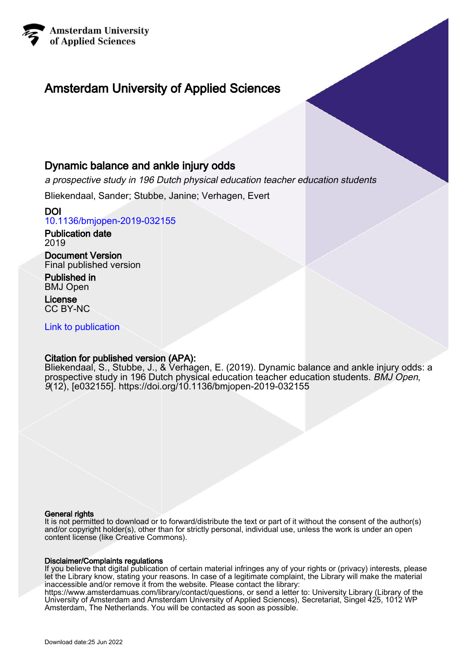

# Amsterdam University of Applied Sciences

## Dynamic balance and ankle injury odds

a prospective study in 196 Dutch physical education teacher education students

Bliekendaal, Sander; Stubbe, Janine; Verhagen, Evert

DOI [10.1136/bmjopen-2019-032155](https://doi.org/10.1136/bmjopen-2019-032155)

Publication date 2019

Document Version Final published version

Published in BMJ Open

License CC BY-NC

[Link to publication](https://research.hva.nl/en/publications/8befb3a9-6325-4850-8883-f7772fa311b3)

### Citation for published version (APA):

Bliekendaal, S., Stubbe, J., & Verhagen, E. (2019). Dynamic balance and ankle injury odds: a prospective study in 196 Dutch physical education teacher education students. BMJ Open, 9(12), [e032155]. <https://doi.org/10.1136/bmjopen-2019-032155>

#### General rights

It is not permitted to download or to forward/distribute the text or part of it without the consent of the author(s) and/or copyright holder(s), other than for strictly personal, individual use, unless the work is under an open content license (like Creative Commons).

#### Disclaimer/Complaints regulations

If you believe that digital publication of certain material infringes any of your rights or (privacy) interests, please let the Library know, stating your reasons. In case of a legitimate complaint, the Library will make the material inaccessible and/or remove it from the website. Please contact the library:

https://www.amsterdamuas.com/library/contact/questions, or send a letter to: University Library (Library of the University of Amsterdam and Amsterdam University of Applied Sciences), Secretariat, Singel 425, 1012 WP Amsterdam, The Netherlands. You will be contacted as soon as possible.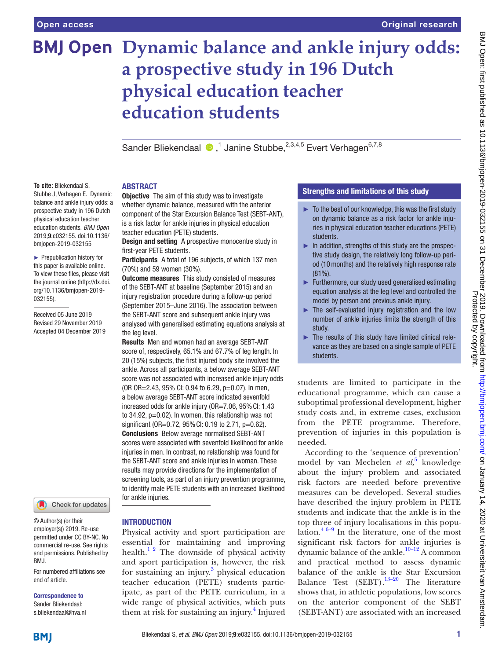# **BMJ Open Dynamic balance and ankle injury odds: a prospective study in 196 Dutch physical education teacher education students**

SanderBliekendaal <sup>®</sup>,<sup>1</sup> Janine Stubbe,<sup>2,3,4,5</sup> Evert Verhagen<sup>6,7,8</sup>

#### **ABSTRACT**

**To cite:** Bliekendaal S, Stubbe J, Verhagen E. Dynamic balance and ankle injury odds: a prospective study in 196 Dutch physical education teacher education students. *BMJ Open* 2019;9:e032155. doi:10.1136/ bmjopen-2019-032155

► Prepublication history for this paper is available online. To view these files, please visit the journal online (http://dx.doi. org/10.1136/bmjopen-2019- 032155).

Received 05 June 2019 Revised 29 November 2019 Accepted 04 December 2019



© Author(s) (or their employer(s)) 2019. Re-use permitted under CC BY-NC. No commercial re-use. See rights and permissions. Published by BMJ.

For numbered affiliations see end of article.

Correspondence to Sander Bliekendaal; s.bliekendaal@hva.nl

**Objective** The aim of this study was to investigate whether dynamic balance, measured with the anterior component of the Star Excursion Balance Test (SEBT-ANT), is a risk factor for ankle injuries in physical education teacher education (PETE) students.

Design and setting A prospective monocentre study in first-year PETE students.

Participants A total of 196 subjects, of which 137 men (70%) and 59 women (30%).

**Outcome measures** This study consisted of measures of the SEBT-ANT at baseline (September 2015) and an injury registration procedure during a follow-up period (September 2015–June 2016). The association between the SEBT-ANT score and subsequent ankle injury was analysed with generalised estimating equations analysis at the leg level.

Results Men and women had an average SEBT-ANT score of, respectively, 65.1% and 67.7% of leg length. In 20 (15%) subjects, the first injured body site involved the ankle. Across all participants, a below average SEBT-ANT score was not associated with increased ankle injury odds (OR OR=2.43, 95% CI: 0.94 to 6.29, p=0.07). In men, a below average SEBT-ANT score indicated sevenfold increased odds for ankle injury (OR=7.06, 95% CI: 1.43 to 34.92, p=0.02). In women, this relationship was not significant (OR=0.72, 95% CI: 0.19 to 2.71, p=0.62). Conclusions Below average normalised SEBT-ANT scores were associated with sevenfold likelihood for ankle injuries in men. In contrast, no relationship was found for the SEBT-ANT score and ankle injuries in woman. These results may provide directions for the implementation of screening tools, as part of an injury prevention programme, to identify male PETE students with an increased likelihood for ankle injuries.

#### **INTRODUCTION**

Physical activity and sport participation are essential for maintaining and improving health.<sup>12</sup> The downside of physical activity and sport participation is, however, the risk for sustaining an injury.<sup>[3](#page-7-1)</sup> physical education teacher education (PETE) students participate, as part of the PETE curriculum, in a wide range of physical activities, which puts them at risk for sustaining an injury.<sup>4</sup> Injured

#### Strengths and limitations of this study

- $\blacktriangleright$  To the best of our knowledge, this was the first study on dynamic balance as a risk factor for ankle injuries in physical education teacher educations (PETE) students.
- ► In addition, strengths of this study are the prospective study design, the relatively long follow-up period (10months) and the relatively high response rate (81%).
- ► Furthermore, our study used generalised estimating equation analysis at the leg level and controlled the model by person and previous ankle injury.
- ► The self-evaluated injury registration and the low number of ankle injuries limits the strength of this study.
- ► The results of this study have limited clinical relevance as they are based on a single sample of PETE students.

students are limited to participate in the educational programme, which can cause a suboptimal professional development, higher study costs and, in extreme cases, exclusion from the PETE programme. Therefore, prevention of injuries in this population is needed.

According to the 'sequence of prevention' model by van Mechelen *et al*,<sup>[5](#page-7-3)</sup> knowledge about the injury problem and associated risk factors are needed before preventive measures can be developed. Several studies have described the injury problem in PETE students and indicate that the ankle is in the top three of injury localisations in this population. $46-9$  In the literature, one of the most significant risk factors for ankle injuries is dynamic balance of the ankle.<sup>10-12</sup> A common and practical method to assess dynamic balance of the ankle is the Star Excursion Balance Test  $(SEBT).^{13-20}$  The literature shows that, in athletic populations, low scores on the anterior component of the SEBT (SEBT-ANT) are associated with an increased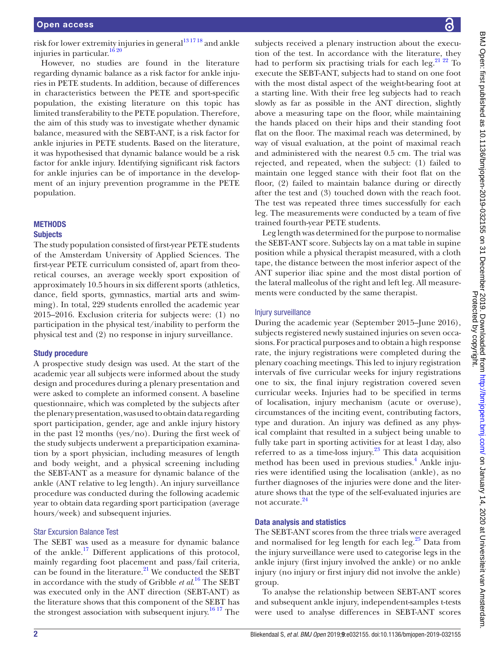risk for lower extremity injuries in general<sup>13 1718</sup> and ankle injuries in particular.<sup>16 20</sup>

However, no studies are found in the literature regarding dynamic balance as a risk factor for ankle injuries in PETE students. In addition, because of differences in characteristics between the PETE and sport-specific population, the existing literature on this topic has limited transferability to the PETE population. Therefore, the aim of this study was to investigate whether dynamic balance, measured with the SEBT-ANT, is a risk factor for ankle injuries in PETE students. Based on the literature, it was hypothesised that dynamic balance would be a risk factor for ankle injury. Identifying significant risk factors for ankle injuries can be of importance in the development of an injury prevention programme in the PETE population.

#### **METHODS**

#### **Subjects**

The study population consisted of first-year PETE students of the Amsterdam University of Applied Sciences. The first-year PETE curriculum consisted of, apart from theoretical courses, an average weekly sport exposition of approximately 10.5hours in six different sports (athletics, dance, field sports, gymnastics, martial arts and swimming). In total, 229 students enrolled the academic year 2015–2016. Exclusion criteria for subjects were: (1) no participation in the physical test/inability to perform the physical test and (2) no response in injury surveillance.

#### Study procedure

A prospective study design was used. At the start of the academic year all subjects were informed about the study design and procedures during a plenary presentation and were asked to complete an informed consent. A baseline questionnaire, which was completed by the subjects after the plenary presentation, was used to obtain data regarding sport participation, gender, age and ankle injury history in the past 12 months (yes/no). During the first week of the study subjects underwent a preparticipation examination by a sport physician, including measures of length and body weight, and a physical screening including the SEBT-ANT as a measure for dynamic balance of the ankle (ANT relative to leg length). An injury surveillance procedure was conducted during the following academic year to obtain data regarding sport participation (average hours/week) and subsequent injuries.

#### Star Excursion Balance Test

The SEBT was used as a measure for dynamic balance of the ankle.<sup>17</sup> Different applications of this protocol, mainly regarding foot placement and pass/fail criteria, can be found in the literature. $^{21}$  We conducted the SEBT in accordance with the study of Gribble *et al*. [16](#page-8-1) The SEBT was executed only in the ANT direction (SEBT-ANT) as the literature shows that this component of the SEBT has the strongest association with subsequent injury.<sup>16 17</sup> The

subjects received a plenary instruction about the execution of the test. In accordance with the literature, they had to perform six practising trials for each leg.<sup>21 22</sup> To execute the SEBT-ANT, subjects had to stand on one foot with the most distal aspect of the weight-bearing foot at a starting line. With their free leg subjects had to reach slowly as far as possible in the ANT direction, slightly above a measuring tape on the floor, while maintaining the hands placed on their hips and their standing foot flat on the floor. The maximal reach was determined, by way of visual evaluation, at the point of maximal reach and administered with the nearest 0.5 cm. The trial was rejected, and repeated, when the subject: (1) failed to maintain one legged stance with their foot flat on the floor, (2) failed to maintain balance during or directly after the test and (3) touched down with the reach foot. The test was repeated three times successfully for each leg. The measurements were conducted by a team of five trained fourth-year PETE students.

Leg length was determined for the purpose to normalise the SEBT-ANT score. Subjects lay on a mat table in supine position while a physical therapist measured, with a cloth tape, the distance between the most inferior aspect of the ANT superior iliac spine and the most distal portion of the lateral malleolus of the right and left leg. All measurements were conducted by the same therapist.

#### Injury surveillance

During the academic year (September 2015–June 2016), subjects registered newly sustained injuries on seven occasions. For practical purposes and to obtain a high response rate, the injury registrations were completed during the plenary coaching meetings. This led to injury registration intervals of five curricular weeks for injury registrations one to six, the final injury registration covered seven curricular weeks. Injuries had to be specified in terms of localisation, injury mechanism (acute or overuse), circumstances of the inciting event, contributing factors, type and duration. An injury was defined as any physical complaint that resulted in a subject being unable to fully take part in sporting activities for at least 1day, also referred to as a time-loss injury.<sup>23</sup> This data acquisition method has been used in previous studies.<sup>4</sup> Ankle injuries were identified using the localisation (ankle), as no further diagnoses of the injuries were done and the literature shows that the type of the self-evaluated injuries are not accurate.<sup>[24](#page-8-5)</sup>

#### Data analysis and statistics

The SEBT-ANT scores from the three trials were averaged and normalised for leg length for each leg.<sup>[25](#page-8-6)</sup> Data from the injury surveillance were used to categorise legs in the ankle injury (first injury involved the ankle) or no ankle injury (no injury or first injury did not involve the ankle) group.

To analyse the relationship between SEBT-ANT scores and subsequent ankle injury, independent-samples t-tests were used to analyse differences in SEBT-ANT scores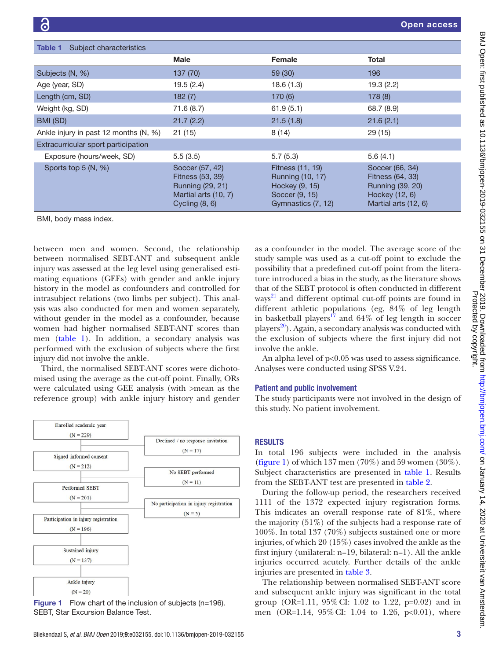<span id="page-3-0"></span>

| Table 1<br>Subject characteristics    |                                                                                                            |                                                                                                |                                                                                                   |  |  |  |
|---------------------------------------|------------------------------------------------------------------------------------------------------------|------------------------------------------------------------------------------------------------|---------------------------------------------------------------------------------------------------|--|--|--|
|                                       | <b>Male</b>                                                                                                | <b>Female</b>                                                                                  | Total                                                                                             |  |  |  |
| Subjects (N, %)                       | 137 (70)                                                                                                   | 59(30)                                                                                         | 196                                                                                               |  |  |  |
| Age (year, SD)                        | 19.5(2.4)                                                                                                  | 18.6(1.3)                                                                                      | 19.3(2.2)                                                                                         |  |  |  |
| Length (cm, SD)                       | 182(7)                                                                                                     | 170(6)                                                                                         | 178(8)                                                                                            |  |  |  |
| Weight (kg, SD)                       | 71.6 (8.7)                                                                                                 | 61.9(5.1)                                                                                      | 68.7 (8.9)                                                                                        |  |  |  |
| BMI (SD)                              | 21.7(2.2)                                                                                                  | 21.5(1.8)                                                                                      | 21.6(2.1)                                                                                         |  |  |  |
| Ankle injury in past 12 months (N, %) | 21(15)                                                                                                     | 8(14)                                                                                          | 29(15)                                                                                            |  |  |  |
| Extracurricular sport participation   |                                                                                                            |                                                                                                |                                                                                                   |  |  |  |
| Exposure (hours/week, SD)             | 5.5(3.5)                                                                                                   | 5.7(5.3)                                                                                       | 5.6(4.1)                                                                                          |  |  |  |
| Sports top 5 (N, %)                   | Soccer (57, 42)<br><b>Fitness (53, 39)</b><br>Running (29, 21)<br>Martial arts (10, 7)<br>Cycling $(8, 6)$ | Fitness (11, 19)<br>Running (10, 17)<br>Hockey (9, 15)<br>Soccer (9, 15)<br>Gymnastics (7, 12) | Soccer (66, 34)<br>Fitness (64, 33)<br>Running (39, 20)<br>Hockey (12, 6)<br>Martial arts (12, 6) |  |  |  |
| <b>PERSONAL PROPERTY</b>              |                                                                                                            |                                                                                                |                                                                                                   |  |  |  |

BMI, body mass index.

between men and women. Second, the relationship between normalised SEBT-ANT and subsequent ankle injury was assessed at the leg level using generalised estimating equations (GEEs) with gender and ankle injury history in the model as confounders and controlled for intrasubject relations (two limbs per subject). This analysis was also conducted for men and women separately, without gender in the model as a confounder, because women had higher normalised SEBT-ANT scores than men [\(table](#page-3-0) 1). In addition, a secondary analysis was performed with the exclusion of subjects where the first injury did not involve the ankle.

Third, the normalised SEBT-ANT scores were dichotomised using the average as the cut-off point. Finally, ORs were calculated using GEE analysis (with >mean as the reference group) with ankle injury history and gender



<span id="page-3-1"></span>Figure 1 Flow chart of the inclusion of subjects (n=196). SEBT, Star Excursion Balance Test.

as a confounder in the model. The average score of the study sample was used as a cut-off point to exclude the possibility that a predefined cut-off point from the literature introduced a bias in the study, as the literature shows that of the SEBT protocol is often conducted in different ways $^{21}$  and different optimal cut-off points are found in different athletic populations (eg, 84% of leg length in basketball players<sup>[17](#page-8-2)</sup> and  $64\%$  of leg length in soccer  $p$ layers<sup>20</sup>). Again, a secondary analysis was conducted with the exclusion of subjects where the first injury did not involve the ankle.

An alpha level of  $p<0.05$  was used to assess significance. Analyses were conducted using SPSS V.24.

#### Patient and public involvement

The study participants were not involved in the design of this study. No patient involvement.

#### **RESULTS**

In total 196 subjects were included in the analysis [\(figure](#page-3-1) 1) of which 137 men (70%) and 59 women (30%). Subject characteristics are presented in [table](#page-3-0) 1. Results from the SEBT-ANT test are presented in [table](#page-4-0) 2.

During the follow-up period, the researchers received 1111 of the 1372 expected injury registration forms. This indicates an overall response rate of 81%, where the majority (51%) of the subjects had a response rate of 100%. In total 137 (70%) subjects sustained one or more injuries, of which 20 (15%) cases involved the ankle as the first injury (unilateral: n=19, bilateral: n=1). All the ankle injuries occurred acutely. Further details of the ankle injuries are presented in [table](#page-5-0) 3.

The relationship between normalised SEBT-ANT score and subsequent ankle injury was significant in the total group (OR=1.11,  $95\%$  CI: 1.02 to 1.22, p=0.02) and in men (OR=1.14, 95%CI: 1.04 to 1.26, p<0.01), where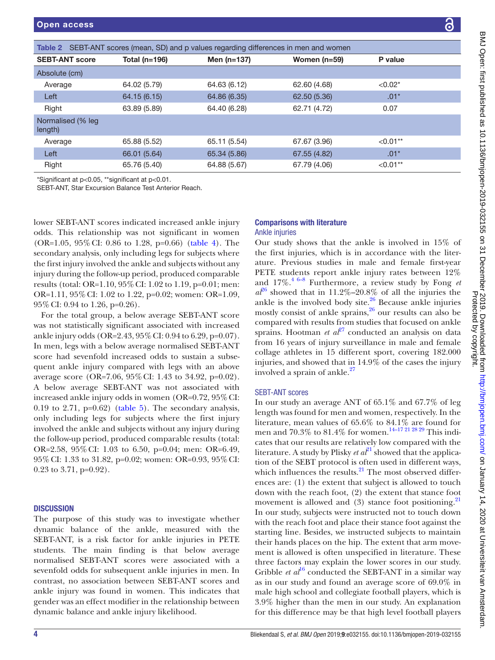<span id="page-4-0"></span>

| Table 2 SEBT-ANT scores (mean, SD) and p values regarding differences in men and women |               |               |                |            |  |
|----------------------------------------------------------------------------------------|---------------|---------------|----------------|------------|--|
| <b>SEBT-ANT score</b>                                                                  | Total (n=196) | Men $(n=137)$ | Women $(n=59)$ | P value    |  |
| Absolute (cm)                                                                          |               |               |                |            |  |
| Average                                                                                | 64.02 (5.79)  | 64.63 (6.12)  | 62.60 (4.68)   | $< 0.02*$  |  |
| Left                                                                                   | 64.15 (6.15)  | 64.86 (6.35)  | 62.50 (5.36)   | $.01*$     |  |
| Right                                                                                  | 63.89 (5.89)  | 64.40 (6.28)  | 62.71 (4.72)   | 0.07       |  |
| Normalised (% leg<br>length)                                                           |               |               |                |            |  |
| Average                                                                                | 65.88 (5.52)  | 65.11 (5.54)  | 67.67 (3.96)   | $< 0.01**$ |  |
| Left                                                                                   | 66.01 (5.64)  | 65.34 (5.86)  | 67.55 (4.82)   | $.01*$     |  |
| Right                                                                                  | 65.76 (5.40)  | 64.88 (5.67)  | 67.79 (4.06)   | $< 0.01**$ |  |

\*Significant at p<0.05, \*\*significant at p<0.01.

SEBT-ANT, Star Excursion Balance Test Anterior Reach.

lower SEBT-ANT scores indicated increased ankle injury odds. This relationship was not significant in women (OR=1.05, 95%CI: 0.86 to 1.28, p=0.66) [\(table](#page-6-0) 4). The secondary analysis, only including legs for subjects where the first injury involved the ankle and subjects without any injury during the follow-up period, produced comparable results (total: OR=1.10, 95%CI: 1.02 to 1.19, p=0.01; men: OR=1.11, 95%CI: 1.02 to 1.22, p=0.02; women: OR=1.09, 95%CI: 0.94 to 1.26, p=0.26).

For the total group, a below average SEBT-ANT score was not statistically significant associated with increased ankle injury odds (OR=2.43, 95%CI: 0.94 to 6.29, p=0.07). In men, legs with a below average normalised SEBT-ANT score had sevenfold increased odds to sustain a subsequent ankle injury compared with legs with an above average score (OR=7.06, 95%CI: 1.43 to 34.92, p=0.02). A below average SEBT-ANT was not associated with increased ankle injury odds in women (OR=0.72, 95%CI: 0.19 to 2.71,  $p=0.62$ ) [\(table](#page-6-1) 5). The secondary analysis, only including legs for subjects where the first injury involved the ankle and subjects without any injury during the follow-up period, produced comparable results (total: OR=2.58, 95%CI: 1.03 to 6.50, p=0.04; men: OR=6.49, 95%CI: 1.33 to 31.82, p=0.02; women: OR=0.93, 95%CI: 0.23 to 3.71, p=0.92).

#### **DISCUSSION**

The purpose of this study was to investigate whether dynamic balance of the ankle, measured with the SEBT-ANT, is a risk factor for ankle injuries in PETE students. The main finding is that below average normalised SEBT-ANT scores were associated with a sevenfold odds for subsequent ankle injuries in men. In contrast, no association between SEBT-ANT scores and ankle injury was found in women. This indicates that gender was an effect modifier in the relationship between dynamic balance and ankle injury likelihood.

#### Comparisons with literature Ankle injuries

Our study shows that the ankle is involved in 15% of the first injuries, which is in accordance with the literature. Previous studies in male and female first-year PETE students report ankle injury rates between 12% and 17%.[4 6–8](#page-7-2) Furthermore, a review study by Fong *et*   $a<sup>26</sup>$  $a<sup>26</sup>$  $a<sup>26</sup>$  showed that in 11.2%–20.8% of all the injuries the ankle is the involved body site. $26$  Because ankle injuries mostly consist of ankle sprains, $26$  our results can also be compared with results from studies that focused on ankle sprains. Hootman *et*  $a^{27}$  conducted an analysis on data from 16 years of injury surveillance in male and female collage athletes in 15 different sport, covering 182.000 injuries, and showed that in 14.9% of the cases the injury involved a sprain of ankle. $27$ 

#### SEBT-ANT scores

In our study an average ANT of 65.1% and 67.7% of leg length was found for men and women, respectively. In the literature, mean values of  $65.6\%$  to  $84.1\%$  are found for men and  $70.3\%$  to  $81.4\%$  for women.<sup>14–17 21 28 29</sup> This indicates that our results are relatively low compared with the literature. A study by Plisky *et*  $a\hat{t}^1$  showed that the application of the SEBT protocol is often used in different ways, which influences the results. $^{21}$  The most observed differences are: (1) the extent that subject is allowed to touch down with the reach foot, (2) the extent that stance foot movement is allowed and  $(3)$  stance foot positioning.<sup>[21](#page-8-3)</sup> In our study, subjects were instructed not to touch down with the reach foot and place their stance foot against the starting line. Besides, we instructed subjects to maintain their hands places on the hip. The extent that arm movement is allowed is often unspecified in literature. These three factors may explain the lower scores in our study. Gribble *et al*<sup>[16](#page-8-1)</sup> conducted the SEBT-ANT in a similar way as in our study and found an average score of 69.0% in male high school and collegiate football players, which is 3.9% higher than the men in our study. An explanation for this difference may be that high level football players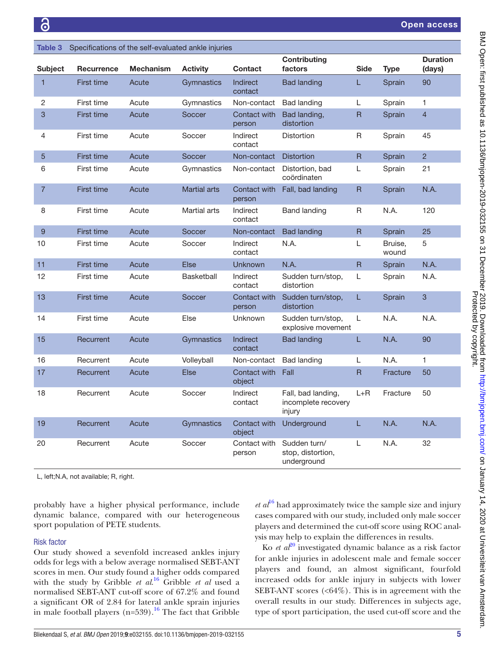<span id="page-5-0"></span>

| Table 3        | Specifications of the self-evaluated ankle injuries |                  |                     |                            |                                                     |                         |                  |                           |
|----------------|-----------------------------------------------------|------------------|---------------------|----------------------------|-----------------------------------------------------|-------------------------|------------------|---------------------------|
| <b>Subject</b> | Recurrence                                          | <b>Mechanism</b> | <b>Activity</b>     | <b>Contact</b>             | <b>Contributing</b><br>factors                      | <b>Side</b>             | Type             | <b>Duration</b><br>(days) |
| $\overline{1}$ | <b>First time</b>                                   | Acute            | Gymnastics          | <b>Indirect</b><br>contact | <b>Bad landing</b>                                  | L                       | Sprain           | 90                        |
| $\overline{c}$ | First time                                          | Acute            | Gymnastics          | Non-contact                | <b>Bad landing</b>                                  | L                       | Sprain           | $\mathbf{1}$              |
| 3              | <b>First time</b>                                   | Acute            | Soccer              | Contact with<br>person     | Bad landing,<br>distortion                          | $\mathsf{R}$            | Sprain           | $\overline{4}$            |
| 4              | First time                                          | Acute            | Soccer              | Indirect<br>contact        | <b>Distortion</b>                                   | R                       | Sprain           | 45                        |
| 5              | <b>First time</b>                                   | Acute            | Soccer              | Non-contact                | <b>Distortion</b>                                   | $\overline{\mathsf{R}}$ | Sprain           | $\overline{2}$            |
| 6              | First time                                          | Acute            | Gymnastics          | Non-contact                | Distortion, bad<br>coördinaten                      | Г                       | Sprain           | 21                        |
| $\overline{7}$ | <b>First time</b>                                   | Acute            | <b>Martial arts</b> | Contact with<br>person     | Fall, bad landing                                   | $\mathsf{R}$            | Sprain           | N.A.                      |
| 8              | First time                                          | Acute            | Martial arts        | Indirect<br>contact        | <b>Band landing</b>                                 | R                       | N.A.             | 120                       |
| 9              | <b>First time</b>                                   | Acute            | Soccer              | Non-contact                | <b>Bad landing</b>                                  | $\mathsf{R}$            | Sprain           | 25                        |
| 10             | First time                                          | Acute            | Soccer              | Indirect<br>contact        | N.A.                                                | L.                      | Bruise,<br>wound | 5                         |
| 11             | <b>First time</b>                                   | Acute            | <b>Else</b>         | <b>Unknown</b>             | N.A.                                                | $\overline{\mathsf{R}}$ | Sprain           | N.A.                      |
| 12             | First time                                          | Acute            | <b>Basketball</b>   | Indirect<br>contact        | Sudden turn/stop,<br>distortion                     | L                       | Sprain           | N.A.                      |
| 13             | <b>First time</b>                                   | Acute            | Soccer              | Contact with<br>person     | Sudden turn/stop,<br>distortion                     | L                       | Sprain           | 3                         |
| 14             | First time                                          | Acute            | Else                | <b>Unknown</b>             | Sudden turn/stop,<br>explosive movement             | L                       | N.A.             | N.A.                      |
| 15             | Recurrent                                           | Acute            | Gymnastics          | <b>Indirect</b><br>contact | <b>Bad landing</b>                                  | L.                      | N.A.             | 90                        |
| 16             | Recurrent                                           | Acute            | Volleyball          | Non-contact                | <b>Bad landing</b>                                  | L                       | N.A.             | 1.                        |
| 17             | Recurrent                                           | Acute            | <b>Else</b>         | Contact with<br>object     | Fall                                                | $\mathsf R$             | Fracture         | 50                        |
| 18             | Recurrent                                           | Acute            | Soccer              | Indirect<br>contact        | Fall, bad landing,<br>incomplete recovery<br>injury | $L + R$                 | Fracture         | 50                        |
| 19             | Recurrent                                           | Acute            | Gymnastics          | Contact with<br>object     | Underground                                         | Ē.                      | N.A.             | N.A.                      |
| 20             | Recurrent                                           | Acute            | Soccer              | Contact with<br>person     | Sudden turn/<br>stop, distortion,<br>underground    | L                       | N.A.             | 32                        |

L, left;N.A, not available; R, right.

probably have a higher physical performance, include dynamic balance, compared with our heterogeneous sport population of PETE students.

#### Risk factor

Our study showed a sevenfold increased ankles injury odds for legs with a below average normalised SEBT-ANT scores in men. Our study found a higher odds compared with the study by Gribble *et al*. [16](#page-8-1) Gribble *et al* used a normalised SEBT-ANT cut-off score of 67.2% and found a significant OR of 2.84 for lateral ankle sprain injuries in male football players (n=539).<sup>16</sup> The fact that Gribble

 $et al^{16}$  $et al^{16}$  $et al^{16}$  had approximately twice the sample size and injury cases compared with our study, included only male soccer players and determined the cut-off score using ROC analysis may help to explain the differences in results.

Ko *et al*<sup>[20](#page-8-7)</sup> investigated dynamic balance as a risk factor for ankle injuries in adolescent male and female soccer players and found, an almost significant, fourfold increased odds for ankle injury in subjects with lower SEBT-ANT scores  $\langle \langle 64\% \rangle$ . This is in agreement with the overall results in our study. Differences in subjects age, type of sport participation, the used cut-off score and the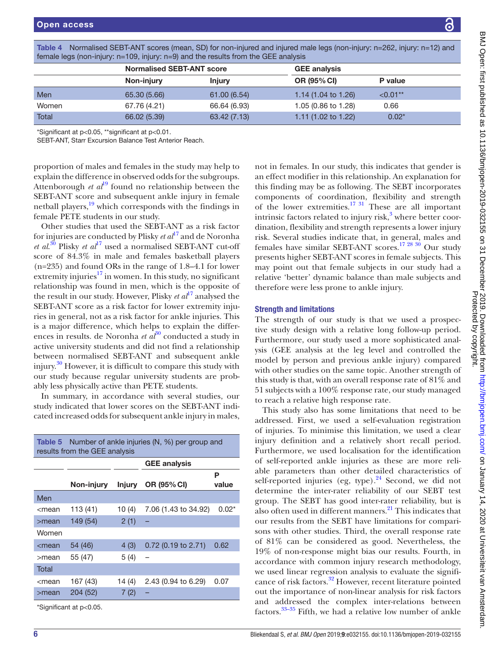| Terriale legs (Fig. 1-11) let $y$ . The LOS, fright $y$ . The $y$ and the results from the GEE analysis |                                  |               |                                |             |  |
|---------------------------------------------------------------------------------------------------------|----------------------------------|---------------|--------------------------------|-------------|--|
|                                                                                                         | <b>Normalised SEBT-ANT score</b> |               | <b>GEE analysis</b>            |             |  |
|                                                                                                         | Non-injury                       | <b>Injury</b> | <b>OR (95% CI)</b>             | P value     |  |
| Men                                                                                                     | 65.30 (5.66)                     | 61.00(6.54)   | 1.14 $(1.04 \text{ to } 1.26)$ | $< 0.01$ ** |  |
| Women                                                                                                   | 67.76 (4.21)                     | 66.64 (6.93)  | 1.05 (0.86 to 1.28)            | 0.66        |  |
| Total                                                                                                   | 66.02 (5.39)                     | 63.42(7.13)   | 1.11 $(1.02 \text{ to } 1.22)$ | $0.02*$     |  |

<span id="page-6-0"></span>Table 4 Normalised SEBT-ANT scores (mean, SD) for non-injured and injured male legs (non-injury: n=262, injury: n=12) and female legs (non-injury: n=109, injury: n=9) and the results from the GEE analysis

\*Significant at p<0.05, \*\*significant at p<0.01.

SEBT-ANT, Starr Excursion Balance Test Anterior Reach.

proportion of males and females in the study may help to explain the difference in observed odds for the subgroups. Attenborough *et al*<sup>[19](#page-8-11)</sup> found no relationship between the SEBT-ANT score and subsequent ankle injury in female netball players,[19](#page-8-11) which corresponds with the findings in female PETE students in our study.

Other studies that used the SEBT-ANT as a risk factor for injuries are conducted by Plisky *et al*[17](#page-8-2) and de Noronha *et al.*<sup>[30](#page-8-12)</sup> Plisky *et al*<sup>17</sup> used a normalised SEBT-ANT cut-off score of 84.3% in male and females basketball players (n=235) and found ORs in the range of 1.8–4.1 for lower extremity injuries $^{17}$  $^{17}$  $^{17}$  in women. In this study, no significant relationship was found in men, which is the opposite of the result in our study. However, Plisky *et al*<sup>[17](#page-8-2)</sup> analysed the SEBT-ANT score as a risk factor for lower extremity injuries in general, not as a risk factor for ankle injuries. This is a major difference, which helps to explain the differences in results. de Noronha *et al*<sup>30</sup> conducted a study in active university students and did not find a relationship between normalised SEBT-ANT and subsequent ankle injury.<sup>30</sup> However, it is difficult to compare this study with our study because regular university students are probably less physically active than PETE students.

In summary, in accordance with several studies, our study indicated that lower scores on the SEBT-ANT indicated increased odds for subsequent ankle injury in males,

<span id="page-6-1"></span>

| <b>Table 5</b> Number of ankle injuries (N, %) per group and<br>results from the GEE analysis  |            |               |                      |            |  |  |
|------------------------------------------------------------------------------------------------|------------|---------------|----------------------|------------|--|--|
|                                                                                                |            |               | <b>GEE analysis</b>  |            |  |  |
|                                                                                                | Non-injury | <b>Injury</b> | OR (95% CI)          | Р<br>value |  |  |
| Men                                                                                            |            |               |                      |            |  |  |
| <i><mean< i=""></mean<></i>                                                                    | 113 (41)   | 10(4)         | 7.06 (1.43 to 34.92) | $0.02*$    |  |  |
| $>$ mean                                                                                       | 149 (54)   | 2(1)          |                      |            |  |  |
| Women                                                                                          |            |               |                      |            |  |  |
| $<$ mean                                                                                       | 54 (46)    | 4(3)          | 0.72 (0.19 to 2.71)  | 0.62       |  |  |
| $>$ mean                                                                                       | 55 (47)    | 5(4)          | -                    |            |  |  |
| Total                                                                                          |            |               |                      |            |  |  |
| <mean< td=""><td>167 (43)</td><td>14 (4)</td><td>2.43 (0.94 to 6.29)</td><td>0.07</td></mean<> | 167 (43)   | 14 (4)        | 2.43 (0.94 to 6.29)  | 0.07       |  |  |
| $>$ mean                                                                                       | 204 (52)   | 7(2)          |                      |            |  |  |
| *Significant at p<0.05.                                                                        |            |               |                      |            |  |  |

not in females. In our study, this indicates that gender is an effect modifier in this relationship. An explanation for this finding may be as following. The SEBT incorporates components of coordination, flexibility and strength of the lower extremities.<sup>17 31</sup> These are all important intrinsic factors related to injury risk,<sup>[3](#page-7-1)</sup> where better coordination, flexibility and strength represents a lower injury risk. Several studies indicate that, in general, males and females have similar SEBT-ANT scores.[17 28 30](#page-8-2) Our study presents higher SEBT-ANT scores in female subjects. This may point out that female subjects in our study had a relative 'better' dynamic balance than male subjects and therefore were less prone to ankle injury.

#### Strength and limitations

The strength of our study is that we used a prospective study design with a relative long follow-up period. Furthermore, our study used a more sophisticated analysis (GEE analysis at the leg level and controlled the model by person and previous ankle injury) compared with other studies on the same topic. Another strength of this study is that, with an overall response rate of 81% and 51 subjects with a 100% response rate, our study managed to reach a relative high response rate.

This study also has some limitations that need to be addressed. First, we used a self-evaluation registration of injuries. To minimise this limitation, we used a clear injury definition and a relatively short recall period. Furthermore, we used localisation for the identification of self-reported ankle injuries as these are more reliable parameters than other detailed characteristics of self-reported injuries (eg, type). $^{24}$  Second, we did not determine the inter-rater reliability of our SEBT test group. The SEBT has good inter-rater reliability, but is also often used in different manners. $^{21}$  $^{21}$  $^{21}$  This indicates that our results from the SEBT have limitations for comparisons with other studies. Third, the overall response rate of 81% can be considered as good. Nevertheless, the 19% of non-response might bias our results. Fourth, in accordance with common injury research methodology, we used linear regression analysis to evaluate the signifi-cance of risk factors.<sup>[32](#page-8-13)</sup> However, recent literature pointed out the importance of non-linear analysis for risk factors and addressed the complex inter-relations between factors[.33–35](#page-8-14) Fifth, we had a relative low number of ankle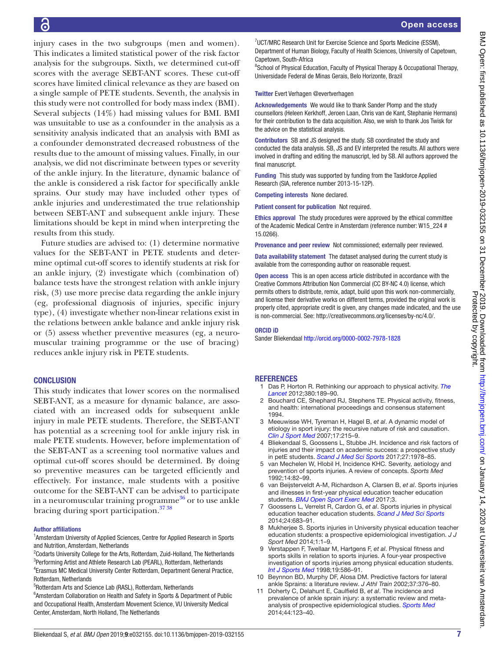injury cases in the two subgroups (men and women). This indicates a limited statistical power of the risk factor analysis for the subgroups. Sixth, we determined cut-off scores with the average SEBT-ANT scores. These cut-off scores have limited clinical relevance as they are based on a single sample of PETE students. Seventh, the analysis in this study were not controlled for body mass index (BMI). Several subjects (14%) had missing values for BMI. BMI was unsuitable to use as a confounder in the analysis as a sensitivity analysis indicated that an analysis with BMI as a confounder demonstrated decreased robustness of the results due to the amount of missing values. Finally, in our analysis, we did not discriminate between types or severity of the ankle injury. In the literature, dynamic balance of the ankle is considered a risk factor for specifically ankle sprains. Our study may have included other types of ankle injuries and underestimated the true relationship between SEBT-ANT and subsequent ankle injury. These limitations should be kept in mind when interpreting the results from this study.

Future studies are advised to: (1) determine normative values for the SEBT-ANT in PETE students and determine optimal cut-off scores to identify students at risk for an ankle injury, (2) investigate which (combination of) balance tests have the strongest relation with ankle injury risk, (3) use more precise data regarding the ankle injury (eg, professional diagnosis of injuries, specific injury type), (4) investigate whether non-linear relations exist in the relations between ankle balance and ankle injury risk or (5) assess whether preventive measures (eg, a neuromuscular training programme or the use of bracing) reduces ankle injury risk in PETE students.

#### **CONCLUSION**

This study indicates that lower scores on the normalised SEBT-ANT, as a measure for dynamic balance, are associated with an increased odds for subsequent ankle injury in male PETE students. Therefore, the SEBT-ANT has potential as a screening tool for ankle injury risk in male PETE students. However, before implementation of the SEBT-ANT as a screening tool normative values and optimal cut-off scores should be determined. By doing so preventive measures can be targeted efficiently and effectively. For instance, male students with a positive outcome for the SEBT-ANT can be advised to participate in a neuromuscular training programme $36$  or to use ankle bracing during sport participation.<sup>37</sup> 38</sup>

#### Author affiliations

<sup>1</sup>Amsterdam University of Applied Sciences, Centre for Applied Research in Sports and Nutrition, Amsterdam, Netherlands

<sup>2</sup>Codarts University College for the Arts, Rotterdam, Zuid-Holland, The Netherlands <sup>3</sup>Performing Artist and Athlete Research Lab (PEARL), Rotterdam, Netherlands 4 Erasmus MC Medical University Center Rotterdam, Department General Practice, Rotterdam, Netherlands

5 Rotterdam Arts and Science Lab (RASL), Rotterdam, Netherlands

<sup>6</sup> Amsterdam Collaboration on Health and Safety in Sports & Department of Public and Occupational Health, Amsterdam Movement Science, VU University Medical Center, Amsterdam, North Holland, The Netherlands

<sup>7</sup>UCT/MRC Research Unit for Exercise Science and Sports Medicine (ESSM), Department of Human Biology, Faculty of Health Sciences, University of Capetown, Capetown, South-Africa

<sup>8</sup>School of Physical Education, Faculty of Physical Therapy & Occupational Therapy, Universidade Federal de Minas Gerais, Belo Horizonte, Brazil

#### Twitter Evert Verhagen [@evertverhagen](https://twitter.com/evertverhagen)

Acknowledgements We would like to thank Sander Plomp and the study counsellors (Heleen Kerkhoff, Jeroen Laan, Chris van de Kant, Stephanie Hermans) for their contribution to the data acquisition. Also, we wish to thank Jos Twisk for the advice on the statistical analysis.

Contributors SB and JS designed the study. SB coordinated the study and conducted the data analysis. SB, JS and EV interpreted the results. All authors were involved in drafting and editing the manuscript, led by SB. All authors approved the final manuscript.

Funding This study was supported by funding from the Taskforce Applied Research (SIA, reference number 2013-15-12P).

Competing interests None declared.

Patient consent for publication Not required.

Ethics approval The study procedures were approved by the ethical committee of the Academic Medical Centre in Amsterdam (reference number: W15\_224 # 15.0266).

Provenance and peer review Not commissioned; externally peer reviewed.

Data availability statement The dataset analysed during the current study is available from the corresponding author on reasonable request.

Open access This is an open access article distributed in accordance with the Creative Commons Attribution Non Commercial (CC BY-NC 4.0) license, which permits others to distribute, remix, adapt, build upon this work non-commercially, and license their derivative works on different terms, provided the original work is properly cited, appropriate credit is given, any changes made indicated, and the use is non-commercial. See: [http://creativecommons.org/licenses/by-nc/4.0/.](http://creativecommons.org/licenses/by-nc/4.0/)

#### ORCID iD

Sander Bliekendaal <http://orcid.org/0000-0002-7978-1828>

#### <span id="page-7-0"></span>**REFERENCES**

- 1 Das P, Horton R. Rethinking our approach to physical activity. *[The](http://dx.doi.org/10.1016/S0140-6736(12)61024-1)  [Lancet](http://dx.doi.org/10.1016/S0140-6736(12)61024-1)* 2012;380:189–90.
- 2 Bouchard CE, Shephard RJ, Stephens TE. Physical activity, fitness, and health: international proceedings and consensus statement 1994.
- <span id="page-7-1"></span>3 Meeuwisse WH, Tyreman H, Hagel B, *et al*. A dynamic model of etiology in sport injury: the recursive nature of risk and causation. *[Clin J Sport Med](http://dx.doi.org/10.1097/JSM.0b013e3180592a48)* 2007;17:215–9.
- <span id="page-7-2"></span>4 Bliekendaal S, Goossens L, Stubbe JH. Incidence and risk factors of injuries and their impact on academic success: a prospective study in petE students. *[Scand J Med Sci Sports](http://dx.doi.org/10.1111/sms.12838)* 2017;27:1978–85.
- <span id="page-7-3"></span>5 van Mechelen W, Hlobil H, Incidence KHC. Severity, aetiology and prevention of sports injuries. A review of concepts. *Sports Med* 1992;14:82–99.
- 6 van Beijsterveldt A-M, Richardson A, Clarsen B, *et al*. Sports injuries and illnesses in first-year physical education teacher education students. *[BMJ Open Sport Exerc Med](http://dx.doi.org/10.1136/bmjsem-2016-000189)* 2017;3.
- 7 Goossens L, Verrelst R, Cardon G, *et al*. Sports injuries in physical education teacher education students. *[Scand J Med Sci Sports](http://dx.doi.org/10.1111/sms.12054)* 2014;24:683–91.
- 8 Mukherjee S. Sports injuries in University physical education teacher education students: a prospective epidemiological investigation. *J J Sport Med* 2014;1:1–9.
- 9 Verstappen F, Twellaar M, Hartgens F, *et al*. Physical fitness and sports skills in relation to sports injuries. A four-year prospective investigation of sports injuries among physical education students. *[Int J Sports Med](http://dx.doi.org/10.1055/s-2007-971964)* 1998;19:586–91.
- <span id="page-7-4"></span>10 Beynnon BD, Murphy DF, Alosa DM. Predictive factors for lateral ankle Sprains: a literature review. *J Athl Train* 2002;37:376–80.
- 11 Doherty C, Delahunt E, Caulfield B, *et al*. The incidence and prevalence of ankle sprain injury: a systematic review and metaanalysis of prospective epidemiological studies. *[Sports Med](http://dx.doi.org/10.1007/s40279-013-0102-5)* 2014;44:123–40.